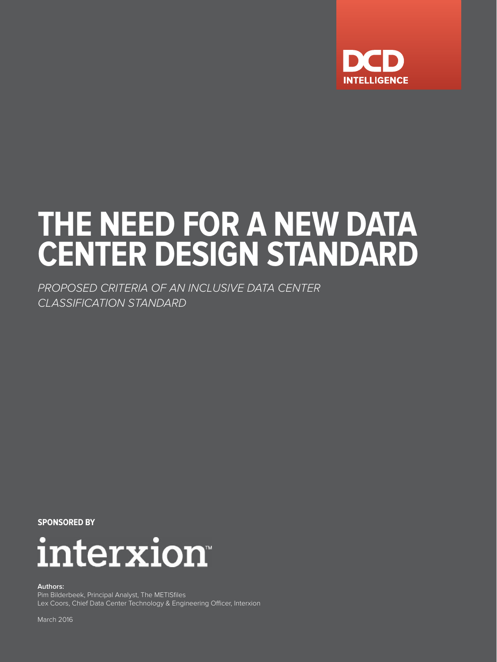

# **THE NEED FOR A NEW DATA CENTER DESIGN STANDARD**

*PROPOSED CRITERIA OF AN INCLUSIVE DATA CENTER CLASSIFICATION STANDARD*

**SPONSORED BY**



**Authors:**

Pim Bilderbeek, Principal Analyst, The METISfiles Lex Coors, Chief Data Center Technology & Engineering Officer, Interxion

March 2016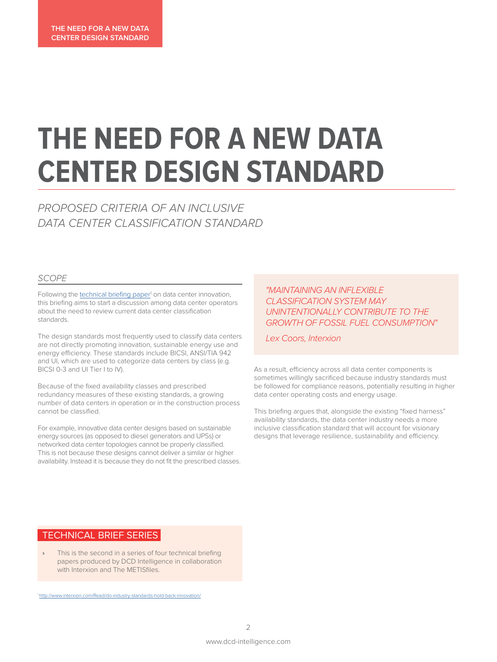## **THE NEED FOR A NEW DATA CENTER DESIGN STANDARD**

*PROPOSED CRITERIA OF AN INCLUSIVE DATA CENTER CLASSIFICATION STANDARD*

### *SCOPE*

Following the [technical briefing paper](http://www.interxion.com/Read/do-industry-standards-hold-back-innovation/)<sup>1</sup> on data center innovation, this briefing aims to start a discussion among data center operators about the need to review current data center classification standards.

The design standards most frequently used to classify data centers are not directly promoting innovation, sustainable energy use and energy efficiency. These standards include BICSI, ANSI/TIA 942 and UI, which are used to categorize data centers by class (e.g. BICSI 0-3 and UI Tier I to IV).

Because of the fixed availability classes and prescribed redundancy measures of these existing standards, a growing number of data centers in operation or in the construction process cannot be classified.

For example, innovative data center designs based on sustainable energy sources (as opposed to diesel generators and UPSs) or networked data center topologies cannot be properly classified. This is not because these designs cannot deliver a similar or higher availability. Instead it is because they do not fit the prescribed classes.

### *"MAINTAINING AN INFLEXIBLE CLASSIFICATION SYSTEM MAY UNINTENTIONALLY CONTRIBUTE TO THE GROWTH OF FOSSIL FUEL CONSUMPTION"*

*Lex Coors, Interxion*

As a result, efficiency across all data center components is sometimes willingly sacrificed because industry standards must be followed for compliance reasons, potentially resulting in higher data center operating costs and energy usage.

This briefing argues that, alongside the existing "fixed harness" availability standards, the data center industry needs a more inclusive classification standard that will account for visionary designs that leverage resilience, sustainability and efficiency.

## TECHNICAL BRIEF SERIES

**›** This is the second in a series of four technical briefing papers produced by DCD Intelligence in collaboration with Interxion and The METISfiles.

http://www.interxion.com/Read/do-industry-standards-hold-back-innovation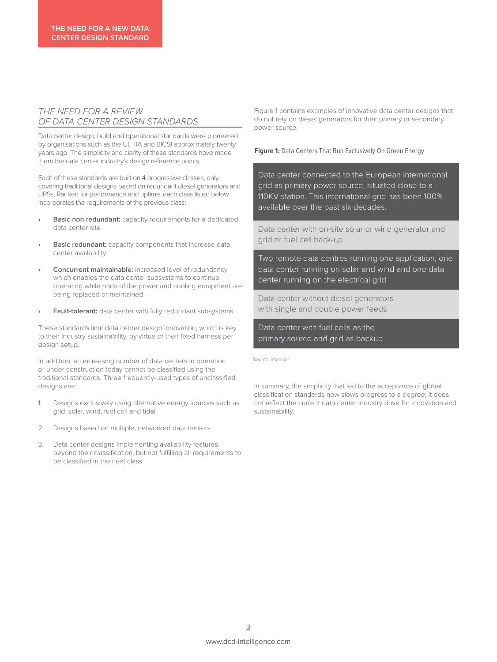#### *THE NEED FOR A REVIEW OF DATA CENTER DESIGN STANDARDS*

Data center design, build and operational standards were pioneered by organisations such as the UI, TIA and BICSI approximately twenty years ago. The simplicity and clarity of these standards have made them the data center industry's design reference points.

Each of these standards are built on 4 progressive classes, only covering traditional designs based on redundant diesel generators and UPSs. Ranked for performance and uptime, each class listed below incorporates the requirements of the previous class:

- **› Basic non redundant:** capacity requirements for a dedicated data center site
- **› Basic redundant:** capacity components that increase data center availability
- **› Concurrent maintainable:** increased level of redundancy which enables the data center subsystems to continue operating while parts of the power and cooling equipment are being replaced or maintained
- **Fault-tolerant:** data center with fully redundant subsystems

These standards limit data center design innovation, which is key to their industry sustainability, by virtue of their fixed harness per design setup.

In addition, an increasing number of data centers in operation or under construction today cannot be classified using the traditional standards. Three frequently-used types of unclassified designs are:

- 1. Designs exclusively using alternative energy sources such as grid, solar, wind, fuel cell and tidal
- 2. Designs based on multiple, networked data centers
- 3. Data center designs implementing availability features beyond their classification, but not fulfilling all requirements to be classified in the next class

Figure 1 contains examples of innovative data center designs that do not rely on diesel generators for their primary or secondary power source.

**Figure 1:** Data Centers That Run Exclusively On Green Energy

Data center connected to the European international grid as primary power source, situated close to a 110KV station. This international grid has been 100% available over the past six decades.

Data center with on-site solar or wind generator and grid or fuel cell back-up

Two remote data centres running one application, one data center running on solar and wind and one data center running on the electrical grid

Data center without diesel generators with single and double power feeds

Data center with fuel cells as the primary source and grid as backup

Source: Interxion

In summary, the simplicity that led to the acceptance of global classification standards now slows progress to a degree; it does not reflect the current data center industry drive for innovation and sustainability.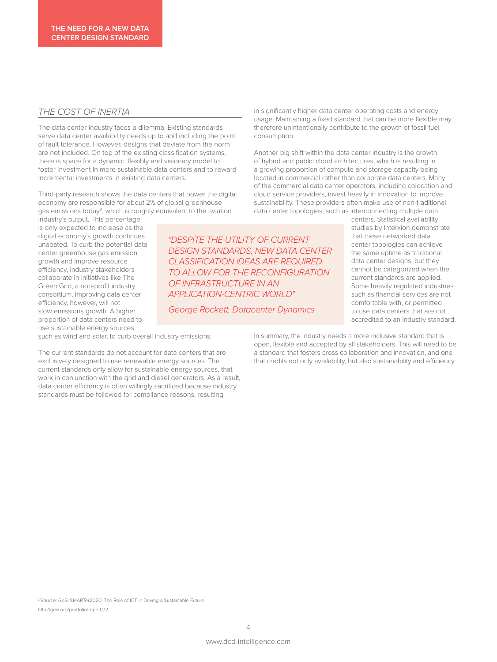#### *THE COST OF INERTIA*

The data center industry faces a dilemma. Existing standards serve data center availability needs up to and including the point of fault tolerance. However, designs that deviate from the norm are not included. On top of the existing classification systems, there is space for a dynamic, flexibly and visionary model to foster investment in more sustainable data centers and to reward incremental investments in existing data centers.

Third-party research shows the data centers that power the digital economy are responsible for about 2% of global greenhouse gas emissions today<sup>2</sup>, which is roughly equivalent to the aviation

industry's output. This percentage is only expected to increase as the digital economy's growth continues unabated. To curb the potential data center greenhouse gas emission growth and improve resource efficiency, industry stakeholders collaborate in initiatives like The Green Grid, a non-profit industry consortium. Improving data center efficiency, however, will not slow emissions growth. A higher proportion of data centers need to use sustainable energy sources,

*"DESPITE THE UTILITY OF CURRENT DESIGN STANDARDS, NEW DATA CENTER CLASSIFICATION IDEAS ARE REQUIRED TO ALLOW FOR THE RECONFIGURATION OF INFRASTRUCTURE IN AN APPLICATION-CENTRIC WORLD"*

*George Rockett, Datacenter Dynamics*

in significantly higher data center operating costs and energy usage. Maintaining a fixed standard that can be more flexible may therefore unintentionally contribute to the growth of fossil fuel consumption.

Another big shift within the data center industry is the growth of hybrid and public cloud architectures, which is resulting in a growing proportion of compute and storage capacity being located in commercial rather than corporate data centers. Many of the commercial data center operators, including colocation and cloud service providers, invest heavily in innovation to improve sustainability. These providers often make use of non-traditional data center topologies, such as interconnecting multiple data

> centers. Statistical availability studies by Interxion demonstrate that these networked data center topologies can achieve the same uptime as traditional data center designs, but they cannot be categorized when the current standards are applied. Some heavily regulated industries such as financial services are not comfortable with, or permitted to use data centers that are not accredited to an industry standard.

such as wind and solar, to curb overall industry emissions.

The current standards do not account for data centers that are exclusively designed to use renewable energy sources. The current standards only allow for sustainable energy sources, that work in conjunction with the grid and diesel generators. As a result, data center efficiency is often willingly sacrificed because industry standards must be followed for compliance reasons, resulting

In summary, the industry needs a more inclusive standard that is open, flexible and accepted by all stakeholders. This will need to be a standard that fosters cross collaboration and innovation, and one that credits not only availability, but also sustainability and efficiency.

2 Source: GeSI SMARTer2020: The Role of ICT in Driving a Sustainable Future http://gesi.org/portfolio/report/72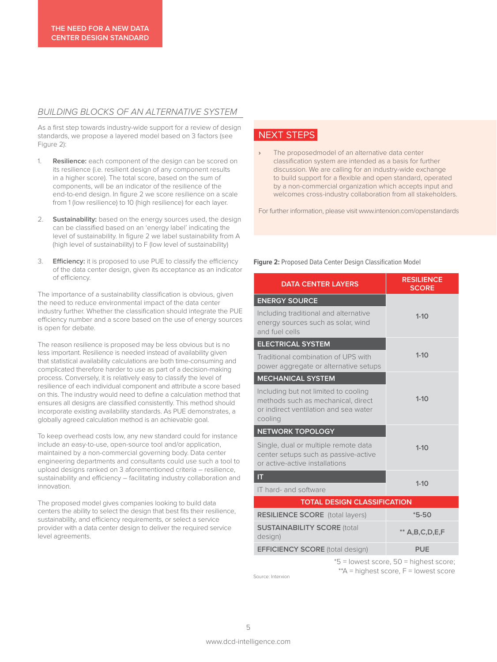#### *BUILDING BLOCKS OF AN ALTERNATIVE SYSTEM*

As a first step towards industry-wide support for a review of design standards, we propose a layered model based on 3 factors (see Figure 2):

- 1. **Resilience:** each component of the design can be scored on its resilience (i.e. resilient design of any component results in a higher score). The total score, based on the sum of components, will be an indicator of the resilience of the end-to-end design. In figure 2 we score resilience on a scale from 1 (low resilience) to 10 (high resilience) for each layer.
- 2. **Sustainability:** based on the energy sources used, the design can be classified based on an 'energy label' indicating the level of sustainability. In figure 2 we label sustainability from A (high level of sustainability) to F (low level of sustainability)
- 3. **Efficiency:** it is proposed to use PUE to classify the efficiency of the data center design, given its acceptance as an indicator of efficiency.

The importance of a sustainability classification is obvious, given the need to reduce environmental impact of the data center industry further. Whether the classification should integrate the PUE efficiency number and a score based on the use of energy sources is open for debate.

The reason resilience is proposed may be less obvious but is no less important. Resilience is needed instead of availability given that statistical availability calculations are both time-consuming and complicated therefore harder to use as part of a decision-making process. Conversely, it is relatively easy to classify the level of resilience of each individual component and attribute a score based on this. The industry would need to define a calculation method that ensures all designs are classified consistently. This method should incorporate existing availability standards. As PUE demonstrates, a globally agreed calculation method is an achievable goal.

To keep overhead costs low, any new standard could for instance include an easy-to-use, open-source tool and/or application, maintained by a non-commercial governing body. Data center engineering departments and consultants could use such a tool to upload designs ranked on 3 aforementioned criteria – resilience, sustainability and efficiency – facilitating industry collaboration and innovation.

The proposed model gives companies looking to build data centers the ability to select the design that best fits their resilience, sustainability, and efficiency requirements, or select a service provider with a data center design to deliver the required service level agreements.

## NEXT STEPS

**›** The proposedmodel of an alternative data center classification system are intended as a basis for further discussion. We are calling for an industry-wide exchange to build support for a flexible and open standard, operated by a non-commercial organization which accepts input and welcomes cross-industry collaboration from all stakeholders.

For further information, please visit www.interxion.com/openstandards

#### **Figure 2:** Proposed Data Center Design Classification Model

| <b>DATA CENTER LAYERS</b>                                                                                                      | <b>RESILIENCE</b><br><b>SCORE</b> |
|--------------------------------------------------------------------------------------------------------------------------------|-----------------------------------|
| <b>ENERGY SOURCE</b>                                                                                                           |                                   |
| Including traditional and alternative<br>energy sources such as solar, wind<br>and fuel cells                                  | $1 - 10$                          |
| <b>ELECTRICAL SYSTEM</b>                                                                                                       |                                   |
| Traditional combination of UPS with<br>power aggregate or alternative setups                                                   | $1 - 10$                          |
| <b>MECHANICAL SYSTEM</b>                                                                                                       |                                   |
| Including but not limited to cooling<br>methods such as mechanical, direct<br>or indirect ventilation and sea water<br>cooling | $1 - 10$                          |
| <b>NETWORK TOPOLOGY</b>                                                                                                        |                                   |
| Single, dual or multiple remote data<br>center setups such as passive-active<br>or active-active installations                 | $1 - 10$                          |
| П                                                                                                                              | $1 - 10$                          |
| IT hard- and software                                                                                                          |                                   |
| <b>TOTAL DESIGN CLASSIFICATION</b>                                                                                             |                                   |
| <b>RESILIENCE SCORE</b> (total layers)                                                                                         | $*5-50$                           |
| <b>SUSTAINABILITY SCORE (total</b><br>design)                                                                                  | $**$ A,B,C,D,E,F                  |
| <b>EFFICIENCY SCORE (total design)</b>                                                                                         | <b>PUE</b>                        |

\*5 = lowest score, 50 = highest score;  $*^*A$  = highest score,  $F$  = lowest score